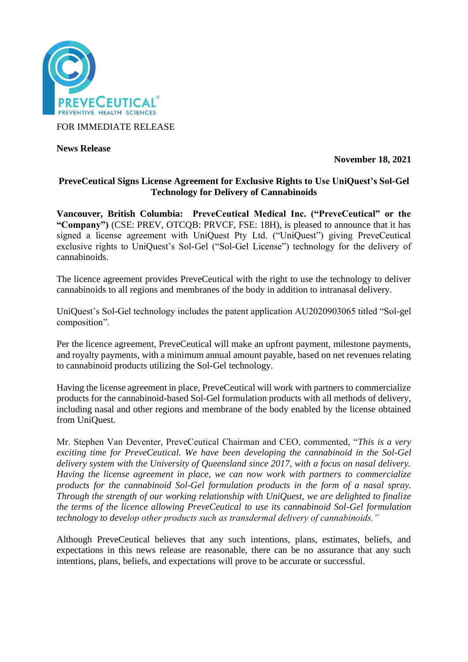

FOR IMMEDIATE RELEASE

**News Release** 

**November 18, 2021**

## **PreveCeutical Signs License Agreement for Exclusive Rights to Use UniQuest's Sol-Gel Technology for Delivery of Cannabinoids**

**Vancouver, British Columbia: PreveCeutical Medical Inc. ("PreveCeutical" or the "Company")** (CSE: PREV, OTCQB: PRVCF, FSE: 18H), is pleased to announce that it has signed a license agreement with UniQuest Pty Ltd. ("UniQuest") giving PreveCeutical exclusive rights to UniQuest's Sol-Gel ("Sol-Gel License") technology for the delivery of cannabinoids.

The licence agreement provides PreveCeutical with the right to use the technology to deliver cannabinoids to all regions and membranes of the body in addition to intranasal delivery.

UniQuest's Sol-Gel technology includes the patent application AU2020903065 titled "Sol-gel composition".

Per the licence agreement, PreveCeutical will make an upfront payment, milestone payments, and royalty payments, with a minimum annual amount payable, based on net revenues relating to cannabinoid products utilizing the Sol-Gel technology.

Having the license agreement in place, PreveCeutical will work with partners to commercialize products for the cannabinoid-based Sol-Gel formulation products with all methods of delivery, including nasal and other regions and membrane of the body enabled by the license obtained from UniQuest.

Mr. Stephen Van Deventer, PreveCeutical Chairman and CEO, commented, "*This is a very exciting time for PreveCeutical. We have been developing the cannabinoid in the Sol-Gel delivery system with the University of Queensland since 2017, with a focus on nasal delivery. Having the license agreement in place, we can now work with partners to commercialize products for the cannabinoid Sol-Gel formulation products in the form of a nasal spray. Through the strength of our working relationship with UniQuest, we are delighted to finalize the terms of the licence allowing PreveCeutical to use its cannabinoid Sol-Gel formulation technology to develop other products such as transdermal delivery of cannabinoids."*

Although PreveCeutical believes that any such intentions, plans, estimates, beliefs, and expectations in this news release are reasonable, there can be no assurance that any such intentions, plans, beliefs, and expectations will prove to be accurate or successful.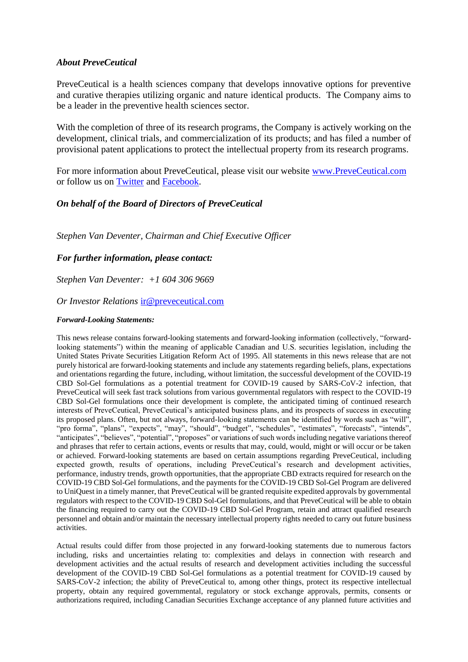### *About PreveCeutical*

PreveCeutical is a health sciences company that develops innovative options for preventive and curative therapies utilizing organic and nature identical products. The Company aims to be a leader in the preventive health sciences sector.

With the completion of three of its research programs, the Company is actively working on the development, clinical trials, and commercialization of its products; and has filed a number of provisional patent applications to protect the intellectual property from its research programs.

For more information about PreveCeutical, please visit our website [www.PreveCeutical.com](http://www.preveceutical.com/) or follow us on [Twitter](http://twitter.com/PreveCeuticals) and [Facebook.](http://www.facebook.com/PreveCeutical)

# *On behalf of the Board of Directors of PreveCeutical*

*Stephen Van Deventer, Chairman and Chief Executive Officer*

### *For further information, please contact:*

*Stephen Van Deventer: +1 604 306 9669*

#### *Or Investor Relations* [ir@preveceutical.com](mailto:ir@preveceutical.com)

#### *Forward-Looking Statements:*

This news release contains forward-looking statements and forward-looking information (collectively, "forwardlooking statements") within the meaning of applicable Canadian and U.S. securities legislation, including the United States Private Securities Litigation Reform Act of 1995. All statements in this news release that are not purely historical are forward-looking statements and include any statements regarding beliefs, plans, expectations and orientations regarding the future, including, without limitation, the successful development of the COVID-19 CBD Sol-Gel formulations as a potential treatment for COVID-19 caused by SARS-CoV-2 infection, that PreveCeutical will seek fast track solutions from various governmental regulators with respect to the COVID-19 CBD Sol-Gel formulations once their development is complete, the anticipated timing of continued research interests of PreveCeutical, PreveCeutical's anticipated business plans, and its prospects of success in executing its proposed plans. Often, but not always, forward-looking statements can be identified by words such as "will", "pro forma", "plans", "expects", "may", "should", "budget", "schedules", "estimates", "forecasts", "intends", "anticipates", "believes", "potential", "proposes" or variations of such words including negative variations thereof and phrases that refer to certain actions, events or results that may, could, would, might or will occur or be taken or achieved. Forward-looking statements are based on certain assumptions regarding PreveCeutical, including expected growth, results of operations, including PreveCeutical's research and development activities, performance, industry trends, growth opportunities, that the appropriate CBD extracts required for research on the COVID-19 CBD Sol-Gel formulations, and the payments for the COVID-19 CBD Sol-Gel Program are delivered to UniQuestin a timely manner, that PreveCeutical will be granted requisite expedited approvals by governmental regulators with respect to the COVID-19 CBD Sol-Gel formulations, and that PreveCeutical will be able to obtain the financing required to carry out the COVID-19 CBD Sol-Gel Program, retain and attract qualified research personnel and obtain and/or maintain the necessary intellectual property rights needed to carry out future business activities.

Actual results could differ from those projected in any forward-looking statements due to numerous factors including, risks and uncertainties relating to: complexities and delays in connection with research and development activities and the actual results of research and development activities including the successful development of the COVID-19 CBD Sol-Gel formulations as a potential treatment for COVID-19 caused by SARS-CoV-2 infection; the ability of PreveCeutical to, among other things, protect its respective intellectual property, obtain any required governmental, regulatory or stock exchange approvals, permits, consents or authorizations required, including Canadian Securities Exchange acceptance of any planned future activities and